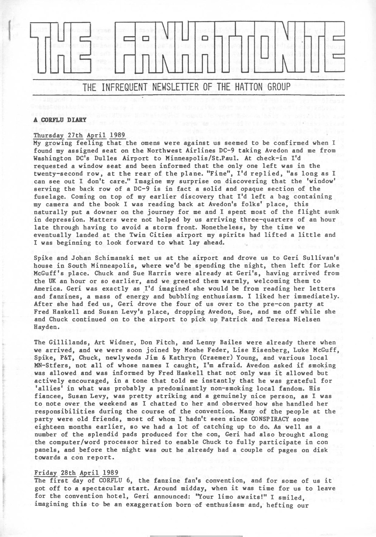

#### **A CORFLU DIARY**

## Thursday 27th April 1989

My growing feeling that the omens were against us seemed to be confirmed when I found my assigned seat on the Northwest Airlines DC-9 taking Avedon and me from Washington DC'<sup>s</sup> Dulles Airport to Minneapolis/St.Paul. At check-in I'<sup>d</sup> requested *<sup>a</sup>* window seat and been informed that the only one left was in the twenty-second row, at the rear of the plane. ''Fine'', I'd replied, "as long as I can see out I don't care." Imagine my surprise on discovering that the 'window' serving the back row of a DC-9 is in fact a solid and opaque section of the fuselage. Coming on top of my earlier discovery that I'd left a bag containing my camera and the book I was reading back at Avedon's folks' place, this naturally put a downer on the journey for me and I spent most of the flight sunk in depression. Matters were not helped by us arriving three-quarters of an hour late through having to avoid a storm front. Nonetheless, by the time we eventually landed at the Twin Cities airport my spirits had lifted <sup>a</sup> little and I was beginning to look forward to what lay ahead.

Spike and Johan Schimanski met us at the airport and drove us to Geri Sullivan's house in South Minneapolis, where we'd be spending the night, then left for Luke McGuff's place. Chuck and Sue Harris were already at Geri's, having arrived from the UK an hour or so earlier, and we greeted them warmly, welcoming them to America. Geri was exactly as I'd imagined she would be from reading her letters and fanzines, a mass of energy and bubbling enthusiasm. I liked her immediately. After she had fed us, Geri drove the four of us over to the pre-con party at Fred Haskell and Susan Levy's place, dropping Avedon, Sue, and me off while she and Chuck continued on to the airport to pick up Patrick and Teresa Nielsen Hayden.

The Gillilands, Art Widner, Don Fitch, and Lenny Bailes were already there when we arrived, and we were soon joined by Moshe Feder, Lise Eisenberg, Luke McGuff, Spike, P&T, Chuck, newlyweds Jim & Kathryn (Craemer) Young, and various local MN-Stfers, not all of whose names I caught, I'm afraid. Avedon asked if smoking was allowed and was informed by Fred Haskell that not only was it allowed but actively encouraged, in a tone that told me instantly that he was grateful for 'allies' in what was probably <sup>a</sup> predominantly non-smoking local fandom. His fiancee, Susan Levy, was pretty striking and a genuinely nice person, as I was to note over the weekend as I chatted to her and observed how she handled her responsibilities during the course of the convention. Many of the people at the party were old friends, most of whom I hadn't seen since CONSPIRACY some eighteen months earlier, so we had a lot of catching up to do. As well as <sup>a</sup> number of the splendid pads produced for the con, Geri had also brought along the computer/word processor hired to enable Chuck to fully participate in con panels, and before the night was out he already had a couple of pages on disk towards a con report.

## Friday 28th April 1989

The first day of CORFLU 6, the fanzine fan's convention, and for some of us it got off to <sup>a</sup> spectacular start. Around midday, when it was time for us to leave for the convention hotel, Geri announced: "Your limo awaits!" I smiled, imagining this to be an exaggeration born of enthusiasm and, hefting our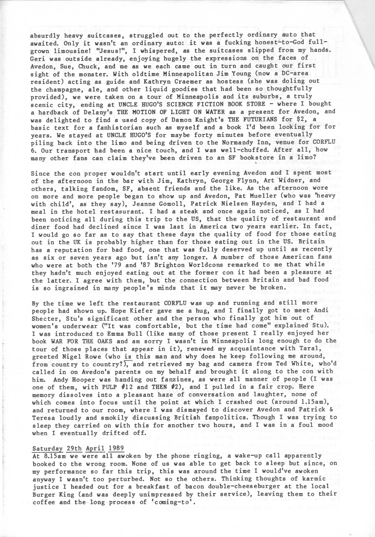absurdly heavy suitcases, struggled out to the perfectly ordinary auto that awaited. Only it wasn't an ordinary auto: it was <sup>a</sup> fucking honest-to-God fullgrown limousine! "Jesus!", I whispered, as the suitcases slipped from my hands. Geri was outside already, enjoying hugely the expressions on the faces of Avedon, Sue, Chuck, and me as we each came out in turn and caught our first sight of the monster. With oldtime Minneapolitan Jim Young (now a DC-area resident) acting as guide and Kathryn Craemer as hostess (she was doling out the champagne, ale, and other liquid goodies that had been so thoughtfully provided), we were taken on <sup>a</sup> tour of Minneapolis and its suburbs, <sup>a</sup> truly scenic city, ending at UNCLE HUGO'S SCIENCE FICTION BOOK STORE - where I bought a hardback of Delany's THE MOTION OF LIGHT ON WATER as a present for Avedon, and was delighted to find a used copy of Damon Knight's THE FUTURIANS for \$2, a basic text for a fanhistorian such as myself and a book I'd been looking for for years. We stayed at UNCLE HUGO'S for maybe forty minutes before eventually piling back into the limo and being driven to the Normandy Inn, venue for CORFLU 6. Our transport had been a nice touch, and I was well-chuffed. After all, how many other fans can claim they've been driven to an SF bookstore in <sup>a</sup> limo? \*

Since the con proper wouldn't start until early evening Avedon and I spent most of the afternoon in the bar with Jim, Kathryn, George Flynn, Art Widner, and others, talking fandom, SF, absent friends and the like. As the afternoon wore on more and more people began to show up and Avedon, Pat Mueller (who was 'heavy with child', as they say), Jeanne Gomoll, Patrick Nielsen Hayden, and I had a meal in the hotel restasurant. I had a steak and once again noticed, as I had been noticing all during this trip to the US, that the quality of restaurant and diner food had declined since I was last in America two years earlier. In fact, I would go so far as to say that these days the quality of food for those eating out in the UK is probably higher than for those eating out in the US. Britain has a reputation for bad food, one that was fully deserved up until as recently as six or seven years ago but isn't any longer. <sup>A</sup> number of those American fans who were at both the '79 and '87 Brighton Worldcons remarked to me that while they hadn't much enjoyed eating out at the former con it had been <sup>a</sup> pleasure at the latter. I agree with them, but the connection between Britain and bad food is so ingrained in many people's minds that it may never be broken.

By the time we left the restaurant CORFLU was up and running and still more people had shown up. Hope Kiefer gave me a hug, and I finally got to meet Andi Shecter, Stu's significant other and the person who finally got him out of women's underwear ("It was comfortable, but the time had come" explained Stu). I was introduced to Emma Bull (like many of those present I really enjoyed her book WAR FOR THE OAKS and am sorry I wasn't in Minneapolis long enough to do the tour of those places that appear in it), renewed my acquaintance with Tarai, greeted Nigel Rowe (who is this man and why does he keep following me around, from country to country?), and retrieved my bag and camera from Ted White, who'd called in on Avedon's parents on my behalf and brought it along to the con with him. Andy Hooper was handing out fanzines, as were all manner of people (I was one of them, with PULP #12 and THEN #2), and I pulled in a fair crop. Here memory dissolves into a pleasant haze of conversation and laughter, none of which comes into focus until the point at which I crashed out (around 1.15am), and returned to our room, where I was dismayed to discover Avedon and Patrick & Teresa loudly and smokily discussing British fanpolitics. Though I was trying to sleep they carried on with this for another two hours, and I was in a foul mood when I eventually drifted off.

## Saturday 29th April 1989

At 8.15am we were all awoken by the phone ringing, a wake-up call apparently booked to the wrong room. None of us was able to get back to sleep but since, on my performance so far this trip, this was around the time I would've awoken anyway I wasn't too perturbed. Not so the others. Thinking thoughts of karmic justice I headed out for a breakfast of bacon double-cheeseburger at the local Burger King (and was deeply unimpressed by their service), leaving them to their coffee and the long process of 'coming-to'.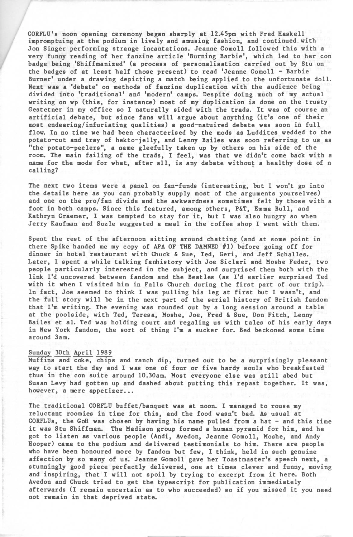CORFLU's noon opening ceremony began sharply at 12.45pm with Fred Haskell impromptuing at the podium in lively and amusing fashion, and continued, with Jon Singer performing strange incantations. Jeanne Gomoll followed this with a very funny reading of her fanzine article 'Burning Barbie', which led to her con badge being 'Shiffmanized' (a process of personalisation carried out by Stu on the badges of at least half those present) to read 'Jeanne Gomoll - Barbie Burner' under a drawing depicting a match being applied to the unfortunate doll. Next was a 'debate' on methods of fanzine duplication with the audience being divided into 'traditional' and 'modern' camps. Despite doing much of my actual writing on wp (this, for instance) most of my duplication is done on the trusty Gestetner in my office so I naturally sided with the trads. It was of course an artificial debate, but since fans will argue about anything (it's one of their most endearing/infuriating qualities) a good-natuired debate was soon in full flow. In no time we had been characterised by the mods as Luddites wedded to the potato-cut and tray of hekto-jelly, and Lenny Bailes was soon referring to us as "the potato-peelers", a name gleefully taken up by others on his side of the room. The main failing of the trads, I feel, was that we didn't come back with <sup>a</sup> name for the mods for what, after all, is any debate without a healthy dose of <sup>n</sup> calling?

The next two items were a panel on fan-funds (interesting, but I won't go into the details here as you can probably supply most of the arguments yourselves) and one on the pro/fan divide and the awkwardness sometimes felt by those with <sup>a</sup> foot in both camps. Since this featured, among others, P&T, Emma Bull, and Kathryn Craemer, I was tempted to stay for it, but I was also hungry so when Jerry Kaufman and Suzle suggested a meal in the coffee shop I went with them.

Spent the rest of the afternoon sitting around chatting (and at some point in there Spike handed me my copy of APA OF THE DAMNED #1) before going off for dinner in hotel restaurant with Chuck & Sue, Ted, Geri, and Jeff Schalles. Later, I spent a while talking fanhistory with Joe Siclari and Moshe Feder, two people particularly interested in the subject, and surprised them both with the link I'd uncovered between fandom and the Beatles (as I'd earlier surprised Ted with it when I visited him in Falls Church during the first part of our trip). In fact, Joe seemed to think I was pulling his leg at first but I wasn't, and the full story will be in the next part of the serial history of British fandom that I'm writing. The evening was rounded out by a long session around a table at the poolside, with Ted, Teresa, Moshe, Joe, Fred & Sue, Don Fitch, Lenny Bailes et al. Ted was holding court and regaling us with tales of his early days in New York fandom, the sort of thing I'm a sucker for. Bed beckoned some time around 3am.

## Sunday 30th April 1989

Muffins and coke, chips and ranch dip, turned out to be a surprisingly pleasant way to start the day and I was one of four or five hardy souls who breakfasted thus in the con suite around 10.30am. Most everyone else was still abed but Susan Levy had gotten up and dashed about putting this repast together. It was, however, a mere appetizer...

The traditional CORFLU buffet/banquet was at noon. I managed to rouse my reluctant roomies in time for this, and the food wasn't bad. As usual at CORFLUs, the GoH was chosen by having his name pulled from a hat - and this time it was Stu Shiftman. The Madison group formed <sup>a</sup> human pyramid for him, and he got to listen as various people (Andi, Avedon, Jeanne Gomoll, Moshe, and Andy Hooper) came to the podium and delivered testimonials to him. There are people who have been honoured more by fandom but few, I think, held in such genuine affection by so many of us. Jeanne Gomoll gave her Toastmaster's speech next, a stunningly good piece perfectly delivered, one at times clever and funny, moving and inspiring, that I will not spoil by trying to excerpt from it here. Both Avedon and Chuck tried to get the typescript for publication immediately afterwards (I remain uncertain as to who succeeded) so if you missed it you need not remain in that deprived state.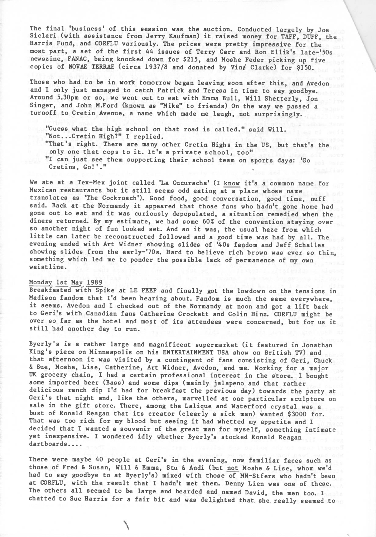The final 'business' of this session was the auction. Conducted largely by Joe Siclari (with assistance from Jerry Kaufman) it raised money for TAFF, DUFF, the Harris Fund, and CORFLU variously. The prices were pretty impressive for the most part, <sup>a</sup> set of the first <sup>44</sup> issues of Terry Carr and Ron Ellik'<sup>s</sup> late-'50s newszine, FANAC, being knocked down for \$215, and Moshe Feder picking up five copies of NOVAE TERRAE (circa 1937/8 and donated by Vin¢ Clarke) for \$150.

Those who had to be in work tomorrow began leaving soon after this, and Avedon and I only just managed to catch Patrick and Teresa in time to say goodbye. Around 5.30pm or so, we went out to eat with Emma Bull, Will Shetterly, Jon Singer, and John M.Ford (known as "Mike" to friends) On the way we passed a turnoff to Cretin Avenue, a name which made me laugh, not surprisingly.

"Guess what the high school on that road is called." said Will. "Not...Cretin High?" <sup>I</sup> replied.

"That's right. There are many other Cretin Highs in the US, but that's the only one that cops to it. It's <sup>a</sup> private school, too"

"I can just see them supporting their school team on sports days: 'Go can just see them supporting their school team on

We ate at <sup>a</sup> Tex-Mex joint called 'La Cucuracha' (I know it's <sup>a</sup> common name for Mexican restaurants but it still seems odd eating at <sup>a</sup> place whose name translates as 'The Cockroach'). Good food, good conversation, good time, nuff said. Back at the Normandy it appeared that those fans who hadn't gone home had gone out to eat and it was curiously depopulated, <sup>a</sup> situation remedied when the diners returned. By my estimate, we had some 60% of the convention staying over so another night of fun looked set. And so it was, the usual haze from which little can later be reconstructed followed and <sup>a</sup> good time was had by all. The evening ended with Art Widner showing slides of '40s fandom and Jeff Schalles showing slides from the early-'70s. Hard to believe rich brown was ever so thin, something which led me to ponder the possible lack of permanence of my own waistline.

## Monday 1st May 1989

Breakfasted with Spike at LE PEEP and finally got the lowdown on the tensions in Madison fandom that I'd been hearing about. Fandom is much the same everywhere, it seems. Avedon and I checked out of the Normandy at noon and got <sup>a</sup> lift back to Geri's with Canadian fans Catherine Crockett and Colin Hinz. CORFLU might be over so far as the hotel and most of its attendees were concerned, but for us it still had another day to run.

Byerly's is <sup>a</sup> rather large and magnificent supermarket (it featured in Jonathan King's piece on Minneapolis on his ENTERTAINMENT USA show on British TV) and that afternoon it was visited by <sup>a</sup> contingent of fans consisting of Geri, Chuck & Sue, Moshe, Lise, Catherine, Art Widner, Avedon, and me. Working for a major UK grocery chain, I had a certain professional interest in the store. I bought some imported beer (Bass) and some dips (mainly jalapeno and that rather delicious ranch dip I'd had for breakfast the previous day) towards the party at Geri's that night and, like the others, marvelled at one particular sculpture on sale in the gift store. There, among the Lalique and Waterford crystal was <sup>a</sup> bust of Ronald Reagan that its creator (clearly <sup>a</sup> sick man) wanted \$3000 for. That was too rich for my blood but seeing it had whetted my appetite and I decided that I wanted a souvenir of the great man for myself, something intimate yet inexpensive. I wondered idly whether Byerly's stocked Ronald Reagan dartboards....

There were maybe 40 people at Geri's in the evening, now familiar faces such as those of Fred & Susan, Will & Emma, Stu & Andi (but not Moshe & Lise, whom we'd had to say goodbye to at Byerly's) mixed with those of MN-Stfers who hadn't been at CORFLU, with the result that I hadn't met them. Denny Lien was one of these. The others all seemed to be large and bearded and named David, the men too. I chatted to Sue Harris for a fair bit and was delighted that she really seemed to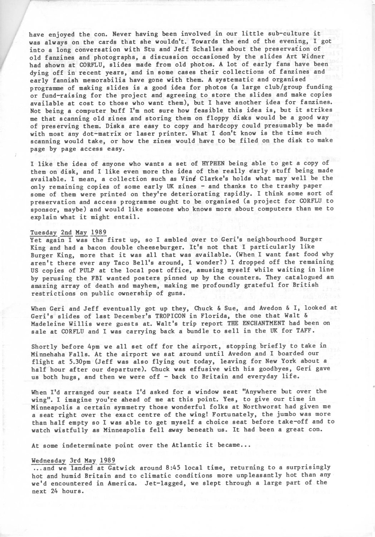have enjoyed the con. Never having been involved in our little sub-culture it was always on the cards that she wouldn't. Towards the end of the evening, I got into a long conversation with Stu and Jeff Schalles about the preservation of old fanzines and photographs, a discussion occasioned by the slides Art Widner had shown at CORFLU, slides made from old photos. <sup>A</sup> lot of early fans have been dying off in recent years, and in some cases their collections of fanzines and early fannish memorabilia have gone with them. <sup>A</sup> systematic and organised programme of making slides is a good idea for photos (a large club/group funding or fund-raising for the project and agreeing to store the slides and make copies available at cost to those who want them), but I have another idea for fanzines. Not being <sup>a</sup> computer buff I'm not sure how feasible this idea is, but it strikes me that scanning old zines and storing them on floppy disks would be a good way of preserving them. Disks are easy to copy and hardcopy could presumably be made with most any dot-matrix or laser printer. What I don't know is the time such scanning would take, or how the zines would have to be filed on the disk to make page by page access easy.

I like the idea of anyone who wants a set of HYPHEN being able to get a copy of them on disk, and I like even more the idea of the really early stuff being made available. I mean, a collection such as Vin¢ Clarke's holds what may well be the only remaining copies of some early UK zines - and thanks to the trashy paper some of them were printed on they're deteriorating rapidly. I think some sort of preservation and access programme ought to be organised (a project for CORFLU to sponsor, maybe) and would like someone who knows more about computers than me to explain what it might entail.

#### Tuesday 2nd May 1989

Yet again I was the first up, so I ambled over to Geri's neighbourhood Burger King and had a bacon double cheeseburger. It's not that I particularly like Burger King, more that it was all that was available. (When I want fast food why aren't there ever any Taco Bell's around, I wonder?) I dropped off the remaining US copies of PULP at the local post office, amusing myself while waiting in line by perusing the FBI wanted posters pinned up by the counters. They catalogued an amazing array of death and mayhem, making me profoundly grateful for British restrictions on public ownership of guns.

When Geri and Jeff eventually got up they, Chuck & Sue, and Avedon & I, looked at Geri's slides of last December's TROPICON in Florida, the one that Walt & Madeleine Willis were guests at. Walt's trip report THE ENCHANTMENT had been on sale at CORFLU and I was carrying back a bundle to sell in the UK for TAFF.

Shortly before 4pm we all set off for the airport, stopping briefly to take in Minnehaha Falls. At the airport we sat around until Avedon and I boarded our flight at 5.30pm (Jeff was also flying out today, leaving for New York about <sup>a</sup> half hour after our departure). Chuck was effusive with his goodbyes, Geri gave us both hugs, and then we were off - back to Britain and everyday life.

When I'd arranged our seats I'd asked for a window seat "Anywhere but over the wing". I imagine you're ahead of me at this point. Yes, to give our time in Minneapolis a certain symmetry those wonderful folks at Northworst had given me a seat right over the exact centre of the wing! Fortunately, the jumbo was more than half empty so I was able to get myself a choice seat before take-off and to watch wistfully as Minneapolis fell away beneath us. It had been a great con.

At some indeterminate point over the Atlantic it became...

## Wednesday 3rd May 1989

...and we landed at Gatwick around 8:45 local time, returning to a surprisingly hot and humid Britain and to climatic conditions more unpleasantly hot than any we'd encountered in America. Jet-lagged, we slept through a large part of the next 24 hours.